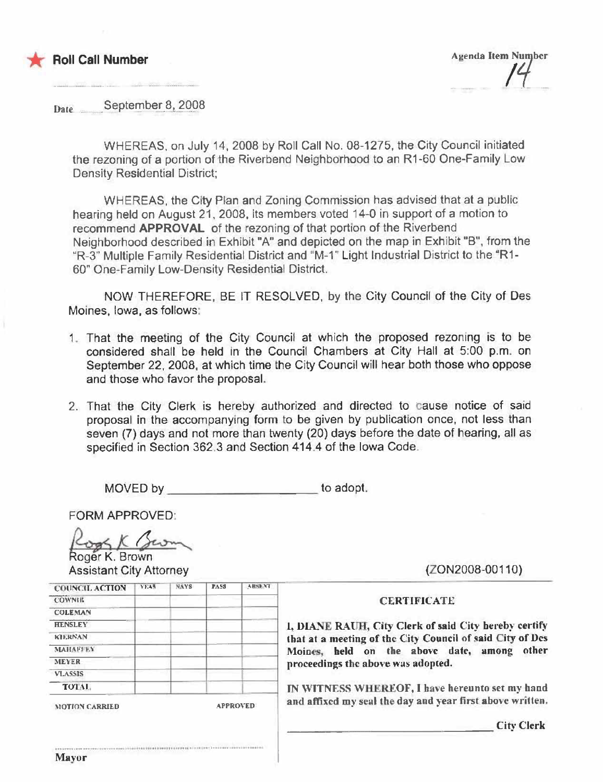



Date September 8, 2008

WHEREAS, on July 14, 2008 by Roll Call No, 08-1275, the City Council initiated the rezoning of a portion of the Riverbend Neighborhood to an R1-6D One-Family Low Density Residential District;

WHEREAS, the City Plan and Zoning Commission has advised that at a public hearing held on August 21, 2008, its members voted 14-0 in support of a motion to recommend APPROVAL of the rezoning of that portion of the Riverbend Neighborhood described in Exhibit "A" and depicted on the map in Exhibit "B", from the "R-3" Multiple Family Residential District and "M-1' Light Industrial District to the "R1- 60" One-Family Low-Density Residential District.

NOW THEREFORE, BE IT RESOLVED. by the City Council of the City of Des Moines, Iowa, as follows:

- 1. That the meeting of the City Council at which the proposed rezoning is to be considered shall be held in the Council Chambers at City Hall at 5:00 p,m. on September 22, 2008, at which time the City Council will hear both those who oppose and those who favor the proposal.
- 2. That the City Clerk is hereby authorized and directed to cause notice of said proposal in the accompanying form to be given by publication once, not less than seven (7) days and not more than twenty (20) days before the date of hearing, all as specified in Section 362.3 and Section 414.4 of the Iowa Code\_

MOVED by 10adopt.

FORM APPROVED:

FORM APPROVED:<br>Cogs K Serving

**Assistant City Attorney** 

|                       | YEAR | <b>NAYS</b>     | <b>PASS</b> | <b>ABSK VI</b> |
|-----------------------|------|-----------------|-------------|----------------|
| <b>COUNCIL ACTION</b> |      |                 |             |                |
| <b>COWNIE</b>         |      |                 |             |                |
| <b>COLEMAN</b>        |      |                 |             |                |
| <b>HENSLEY</b>        |      |                 |             |                |
| <b>KILRNAN</b>        |      |                 |             |                |
| <b>MAHAFFEY</b>       |      |                 |             |                |
| <b>MEYER</b>          |      |                 |             |                |
| <b>VLASSIS</b>        |      |                 |             |                |
| TOTAL.                |      |                 |             |                |
| <b>MOTION CARRIED</b> |      | <b>APPROVED</b> |             |                |

.....................................

(ZON2008-00110)

## **CERTIFICATE**

1, DIANE RAUH, City Clerk of said City hereby certify that at a meeting of the City Council of said City of Des Moines, held on the above date, among other proceedings the above was adopted.

IN WITNESS WHEREOF, I have hereunto set my hand and affixed my seal the day and year first above written.

**City Clerk**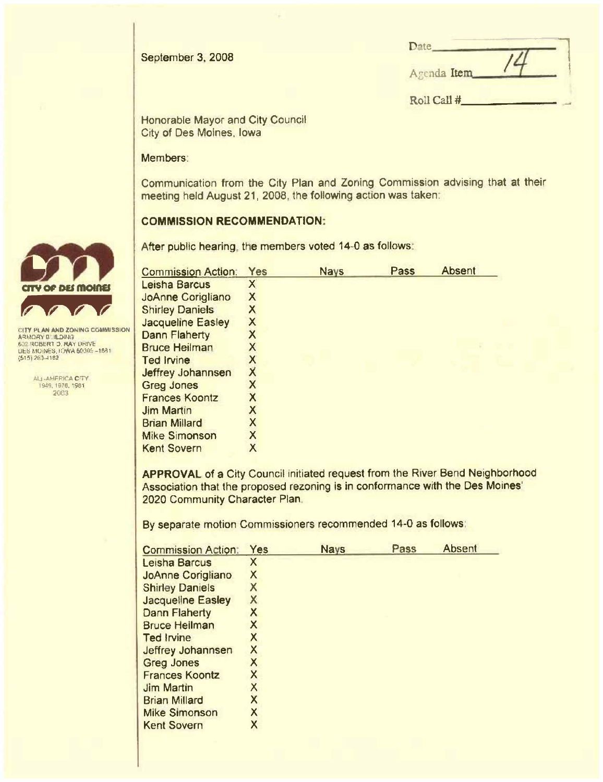

| Date        |  |
|-------------|--|
| Agenda Item |  |

Roll Call #

**Honorable Mayor and City Council** City of Des Moines, Iowa

#### Members:

Communication from the City Plan and Zoning Commission advising that at their meeting held August 21, 2008, the following action was taken.

# **COMMISSION RECOMMENDATION:**

After public hearing, the members voted 14-0 as follows:

| <b>Commission Action:</b> | Yes                     | <b>Nays</b> | Pass | <b>Absent</b> |
|---------------------------|-------------------------|-------------|------|---------------|
| <b>Leisha Barcus</b>      | X                       |             |      |               |
| JoAnne Corigliano         | Χ                       |             |      |               |
| <b>Shirley Daniels</b>    | Х                       |             |      |               |
| <b>Jacqueline Easley</b>  | Χ                       |             |      |               |
| <b>Dann Flaherty</b>      | Χ                       |             |      |               |
| <b>Bruce Heilman</b>      | Χ                       |             |      |               |
| <b>Ted Irvine</b>         |                         |             |      |               |
| Jeffrey Johannsen         | $\overline{\mathsf{X}}$ |             |      |               |
| <b>Greg Jones</b>         | Χ                       |             |      |               |
| <b>Frances Koontz</b>     | Χ                       |             |      |               |
| <b>Jim Martin</b>         | Χ                       |             |      |               |
| <b>Brian Millard</b>      | X                       |             |      |               |
| <b>Mike Simonson</b>      | X                       |             |      |               |
| <b>Kent Sovern</b>        |                         |             |      |               |

APPROVAL of a City Council initiated request from the River Bend Neighborhood Association that the proposed rezoning is in conformance with the Des Moines' 2020 Community Character Plan.

By separate motion Commissioners recommended 14-0 as follows:

| <b>Commission Action:</b> | Yes                     | <b>Nays</b> | Pass | <b>Absent</b> |
|---------------------------|-------------------------|-------------|------|---------------|
| Leisha Barcus             | Χ                       |             |      |               |
| <b>JoAnne Corigliano</b>  | Χ                       |             |      |               |
| <b>Shirley Daniels</b>    | X                       |             |      |               |
| <b>Jacqueline Easley</b>  | X                       |             |      |               |
| <b>Dann Flaherty</b>      | $\overline{\mathsf{X}}$ |             |      |               |
| <b>Bruce Heilman</b>      | Χ                       |             |      |               |
| <b>Ted Irvine</b>         | X                       |             |      |               |
| Jeffrey Johannsen         | X                       |             |      |               |
| <b>Greg Jones</b>         | X                       |             |      |               |
| <b>Frances Koontz</b>     | Χ                       |             |      |               |
| <b>Jim Martin</b>         | Χ                       |             |      |               |
| <b>Brian Millard</b>      | χ                       |             |      |               |
| <b>Mike Simonson</b>      | X                       |             |      |               |
| <b>Kent Sovern</b>        | Χ                       |             |      |               |



CITY PLAN AND ZONING COMMISSION ARMORY BUILDING 632 ROBERT 3, RAY URIVE<br>UES MOINES, IOWA 60006-1681<br>(515) 203-1182

> ALL-AMERICA CITY 1949, 1976, 1981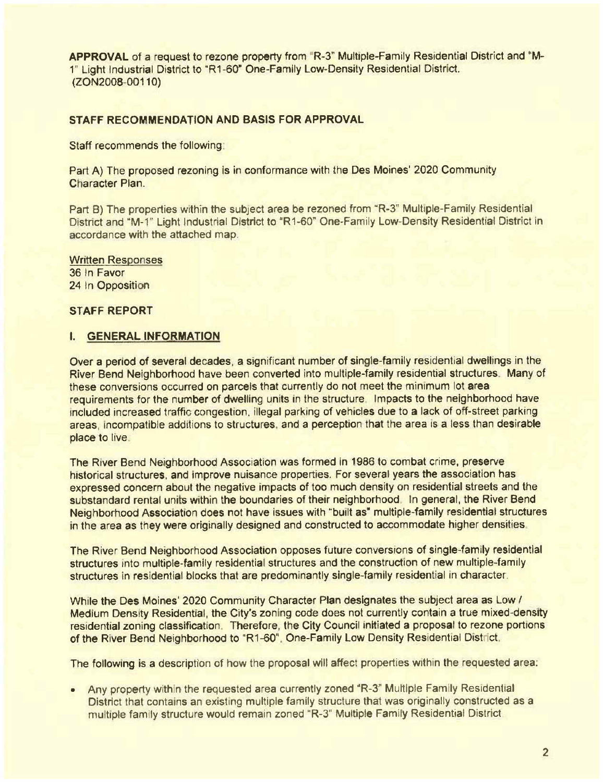APPROVAL of a request to rezone property from "R-3" Multiple-Family Residential District and "M-1" Light Industrial District to "R1-60' One-Family low-Density Residential District, (ZON2008-00110)

# STAFF RECOMMENDATION AND BASIS FOR APPROVAL

Staff recommends the following

Part A) The proposed rezoning is in conformance with the Des Moines' 2020 Community Character Plan.

Part B) The properties within the subject area be rezoned from "R-3" Multiple-Family Residential District and "M-1" Light Industrial District to "R1-60" One-Family Low-Density Residential District in accordance with the attached map.

Written Responses 36 In Favor 24 In Opposition

STAFF REPORT

#### I. GENERAL INFORMATION

Over a period of several decades, a significant number of single-family residential dwellings in the River Bend Neighborlood have been converted into multiple-family residential struclures, Many of these conversions occurred on parcels that currently do not meet the minimum lot area requirements for the number of dwelling units in the structure. Impacts to the neighborhood have included increased traffic congestion. illegal parking of vehicles due to a lack of off-street parking areas, incompatible additions to structures, and a perception that the area is a less than desirable place to live.

The River Bend Neighborhood Association was formed in 1986 to combat crime, preserve historical structures, and improve nuisance properties. For several years the association has expressed concern about the negative impacts of too much density on residential streets and the substandard rental units within the boundaries of their neighborhood. In general, the River Bend Neighborhood Association does not have issues with "built as" multiple-family residential structures in the area as they were originally designed and constructed to accommodate higher densities.

The River Bend Neighborhood Association opposes future conversions of single-family residential structures into multiple-family residential structures and the construction of new multiple-family structures in residential blocks that are predominantly single-family residential in character.

While the Des Moines' 2020 Community Character Plan designates the subject area as Low / Medium Density Residential, the City's zoning code does not currently contain a true mixed-density residential zoning classification. Therefore, the City Council initiated a proposal to rezone portions of the River Bend Neighborhood to "R1-60", One-Family Low Density Residential District,

The following is a description of how the proposal will affect properties within the requested area:

. Any property within the requested area currently zoned 'R-3" Multiple Family Residential District that contains an existing multiple family structure that was originally constructed as a multiple family structure would remain zoned "R-3" Multiple Family Residential District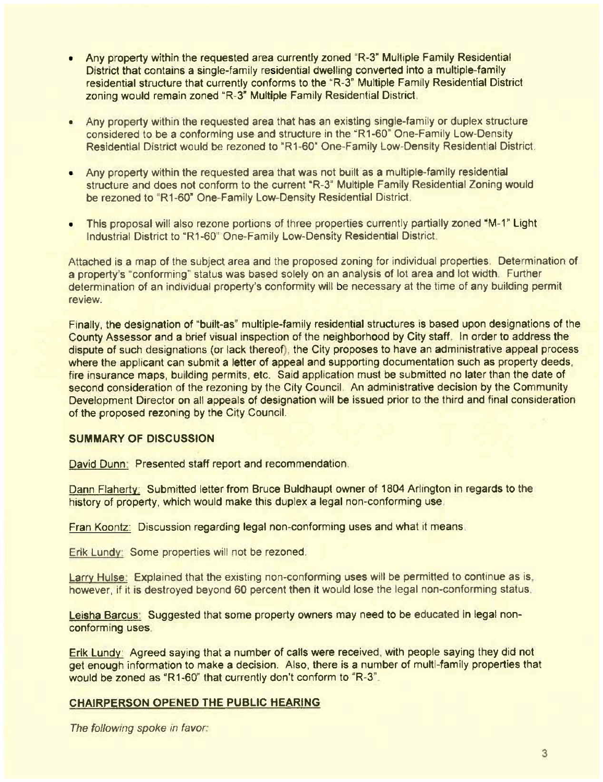- Any property within the requested area currently zoned "R-3" Multiple Family Residential District that contains a single-family residential dwelling converted into a multiple-family residential structure that currently conforms to the "R-3" Multiple Family Residential District zoning would remain zoned "R-3' Multiple Family Residential District
- . Any property within the requested area that has an existing single-family or duplex structure considered to be a conforming use and structure in the "R1-60" One-Family Low-Density Residential District would be rezoned to "R1-60' One-Family Low-Densily Residential District.
- . Any property within the requested area that was not built as a multiple-family residential structure and does not conform to the current "R-3" Multiple Family Residential Zoning would be rezoned to "R1-60" One-Family Low-Density Residential District
- This proposal will also rezone portions of three properties currently partially zoned "M-1" Light Industrial District to "R1-60" One-Family Low-Density Residential District

Attached is a map of the subject area and the proposed zoning for individual properties. Determination of a property's "conforming" status was based solely on an analysis of lot area and lot width. Further determination of an individual property's conformity will be necessary at the time of any building permit review

Finally, the designation of "built-as" multiple-family residential structures is based upon designations of the County Assessor and a brief visual inspection of the neighborhood by City staff. In order to address the dispute of such designations (or lack thereof), the City proposes to have an administrative appeal process where the applicant can submit a letter of appeal and supporting documentation such as property deeds, fire insurance maps, building permits, etc. Said application must be submitted no later than the date of second consideration of the rezoning by the City Council. An administrative decision by the Community Development Director on all appeals of designation will be issued prior to the third and final consideration of the proposed rezoning by the City Council.

## SUMMARY OF DISCUSSION

David Dunn: Presented staff report and recommendation.

Dann Flahertv: Submitted letter from Bruce Buldhaupt owner of 1804 Arlington in regards to the history of property, which would make this duplex a legal non-conforming use.

Fran Koontz: Discussion regarding legal non-conforming uses and what it means.

Erik Lundv' Some properties will not be rezoned

Larry Hulse: Explained that the existing non-conforming uses will be permitted to continue as is. however, if it is destroyed beyond 60 percent then it would lose the legal non-conforming status.

Leisha Barcus: Suggested that some property owners may need to be educated in legal nonconforming uses

Erik Lundy Agreed saying that a number of calls were received, with people saying they did not get enough information to make a decision, Also, there is a number of muili-family properties that would be zoned as "R1-60" that currently don't conform to "R-3".

## CHAIRPERSON OPENED THE PUBLIC HEARING

The following spoke in favor: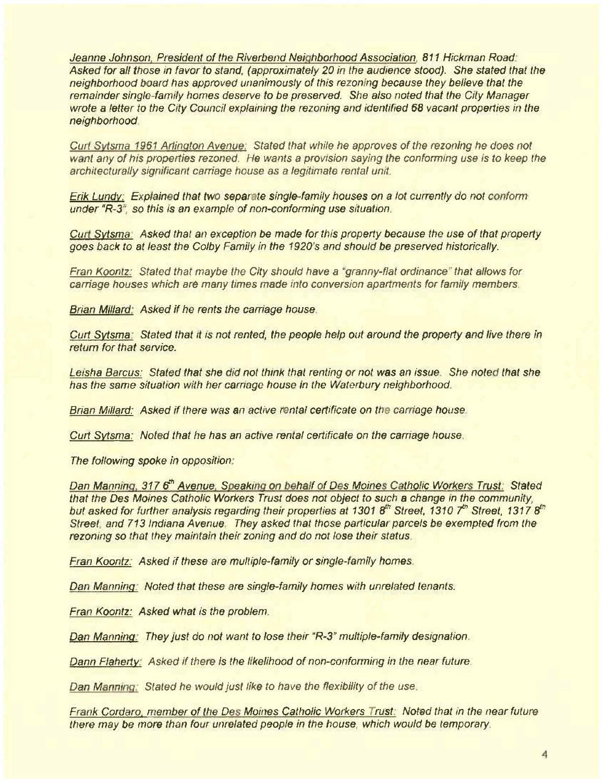Jeanne Johnson, President of the Riverbend Neighborhood Association, 811 Hickman Road. Asked for all those in favor to stand, (approximately 20 in the audience stood). She stated that the neighborhood board has approved unanimously of this rezoning because they believe that the remainder single-family homes deserve to be preserved. She also noted that the City Manager wrote a letter to the City Council explaining the rezoning and identified 68 vacant properties in the neighborhood

Curt Sytsma 1961 Artington Avenue: Stated that while he approves of the rezoning he does not want any of his properties rezoned. He wants a provision saying the conforming use is to keep the architecturally significant carriage house as a legitimate rental unit.

Erik Lundy: Explained that two separate single-family houses on a lot currently do not conform under "R-3", so this is an example of non-conforming use situation.

Curt Sytsma: Asked that an exception be made for this property because the use of that property goes back to at least the Colby Family in the 1920's and should be preserved historically.

Fran Koontz: Stated that maybe the City should have a "granny-flat ordinance" that allows for carriage houses which are many times made into conversion apartments for family members.

Brian Millard: Asked if he rents the carriage house.

Curt Sytsma. Stated that it is not rented, the people help out around the property and live there in return for that service.

Leisha Barcus: Stated that she did not think that renting or not was an issue. She noted that she has the same situation with her carriage house in the Waterbury neighborhood.

Brian Millard: Asked if there was an active rental certificate on the carriage house.

Curt Sytsma: Noted that he has an active rental certificate on the carriage house.

The following spoke in opposition.

Dan Manning, 3176<sup>th</sup> Avenue, Speaking on behalf of Des Moines Catholic Workers Trust. Stated that the Des Moines Catholic Workers Trust does not object to such a change in the community. but asked for further analysis regarding their properties at 1301 8<sup>th</sup> Street, 1310 7<sup>th</sup> Street, 1317 8<sup>th</sup> Street, and 713 Indiana Avenue. They asked that those particular parcels be exempted from the rezoning so that they maintain their zoning and do not lose their status.

Fran Koontz. Asked if these are multiple-family or single-family homes.

Dan Manning. Noted that these are single-family homes with unrelated tenants.

Fran Koontz: Asked what is the problem

Dan Manning: They just do not want to lose their "R-3" multiple-family designation.

Dann Flaherty: Asked if there is the likelihood of non-conforming in the near future.

Dan Manning: Stated he would just like to have the flexibility of the use.

Frank Cordaro, member of the Des Moines Catholic Workers Trust: Noted that in the near future there may be more than four unrelated people in the house, which would be temporary.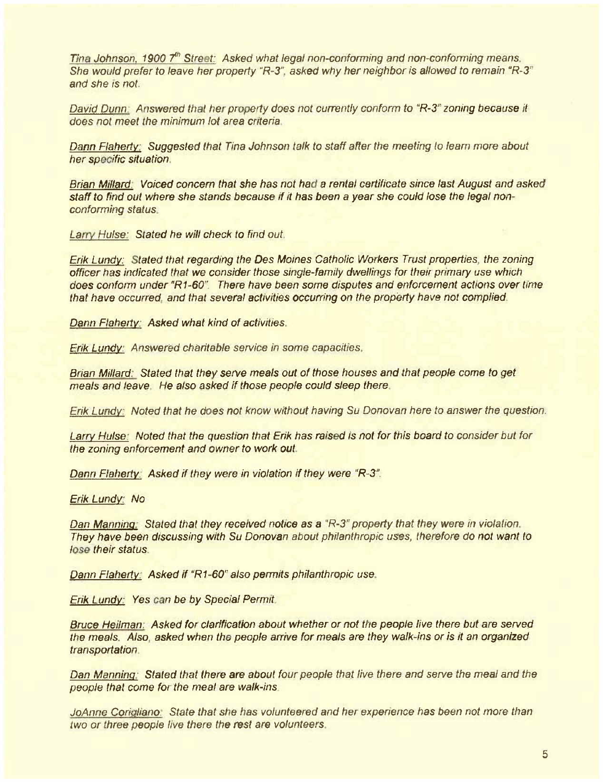Tina Johnson, 1900  $7<sup>th</sup>$  Street: Asked what legal non-conforming and non-conforming means, She would prefer to leave her property "R-3", asked why her neighbor is allowed to remain "R-3" and she is noL.

David Dunn: Answered that her property does not currently conform to "R-3" zoning because it does not meet the minimum lot area criteria

Dann Flaherty; Suggested that Tina Johnson talk to staff after the meeting to learn more about her specific situation.

Brian Millard, Voiced concern that she has not had a rental certificate since last August and asked staff to find out where she stands because if it has been a year she could lose the legal nonconforming status.

Larry Hulse: Stated he will check to find out.

Erik Lundv, Stated that regarding the Des Moines Catholic Workers Trusl properties, the zoning officer has indicated that we consider those single-family dwellings for their primary use which does conform under "R1-60". There have been some disputes and enforcement actions over time that have occurred, and that several activities occurring on the property have not complied

Dann Flaherty: Asked what kind of activities.

Erik Lundy: Answered charitable service in some capacities.

Brian Millard: Stated that they serve meals out of those houses and that people come to get meals and leave. He also asked if those people could sleep there.

Erik Lundy Noted that he does not know without having Su Donovan here to answer the question.

Larry Hulse. Noted that the queslion that Erik has raised is not for this board to consider bul for the zoning enforcement and owner to work out.

Dann Flaherty Asked if they were in violation if they were "R-3".

En'kLundv. No

Dan Manning. Stated that they received notice as a "R-3" property that they were in violation. They have been discussing with Su Donovan aboul philanthropic uses, therefore do not want to lose their status.

Dann Flaherty: Asked if "R1-60" also permits philanthropic use.

Erik Lundv: Yes can be by Special Permit

Bruce Heilman: Asked for clarification about whether or not the people live there but are served the meals. Also, asked when the people arrive for meals are they walk-ins or is it an organized transportation.

Dan Manning: Stated that there are about four people that live there and serve the meal and the people that come for the meal are walk-ins

JoAnne Corigliano. State that she has volunteered and her experience has been not more than two or three people live there the rest are volunteers.